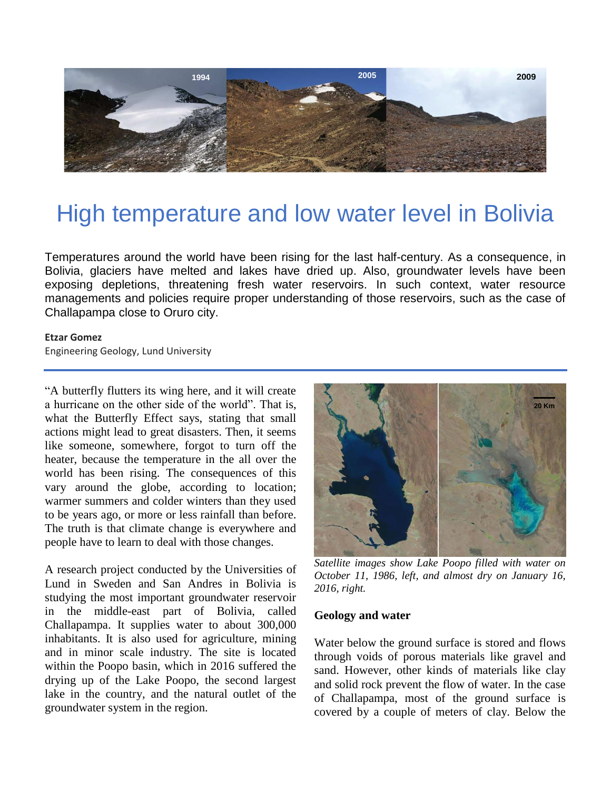

# High temperature and low water level in Bolivia

Temperatures around the world have been rising for the last half-century. As a consequence, in Bolivia, glaciers have melted and lakes have dried up. Also, groundwater levels have been exposing depletions, threatening fresh water reservoirs. In such context, water resource managements and policies require proper understanding of those reservoirs, such as the case of Challapampa close to Oruro city.

#### **Etzar Gomez**

Engineering Geology, Lund University

"A butterfly flutters its wing here, and it will create a hurricane on the other side of the world". That is, what the Butterfly Effect says, stating that small actions might lead to great disasters. Then, it seems like someone, somewhere, forgot to turn off the heater, because the temperature in the all over the world has been rising. The consequences of this vary around the globe, according to location; warmer summers and colder winters than they used to be years ago, or more or less rainfall than before. The truth is that climate change is everywhere and people have to learn to deal with those changes.

A research project conducted by the Universities of Lund in Sweden and San Andres in Bolivia is studying the most important groundwater reservoir in the middle-east part of Bolivia, called Challapampa. It supplies water to about 300,000 inhabitants. It is also used for agriculture, mining and in minor scale industry. The site is located within the Poopo basin, which in 2016 suffered the drying up of the Lake Poopo, the second largest lake in the country, and the natural outlet of the groundwater system in the region.



*Satellite images show Lake Poopo filled with water on October 11, 1986, left, and almost dry on January 16, 2016, right.*

#### **Geology and water**

Water below the ground surface is stored and flows through voids of porous materials like gravel and sand. However, other kinds of materials like clay and solid rock prevent the flow of water. In the case of Challapampa, most of the ground surface is covered by a couple of meters of clay. Below the